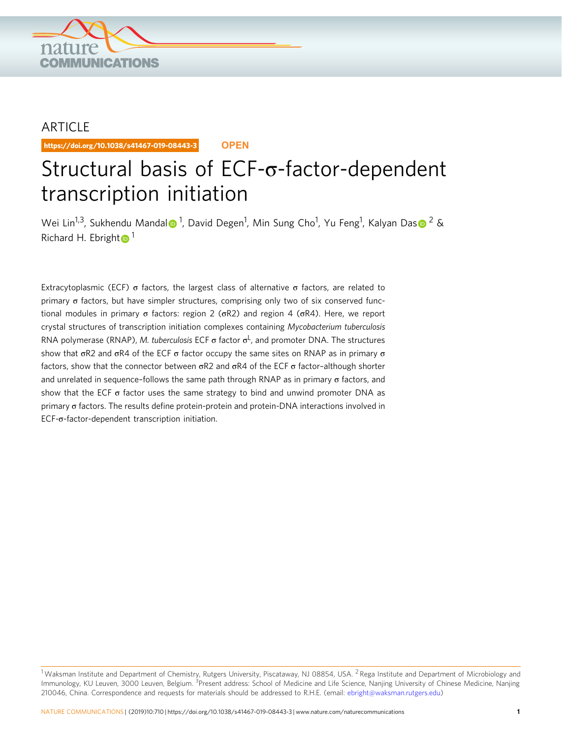

## ARTICLE

https://doi.org/10.1038/s41467-019-08443-3 **OPEN**

# Structural basis of ECF-σ-factor-dependent transcription initiation

Wei Lin<sup>1,3</sup>, Sukhendu Manda[l](http://orcid.org/0000-0002-7752-0982)® <[s](http://orcid.org/0000-0002-8897-324X)up>1</sup>, David Degen<sup>1</sup>, Min Sung Cho<sup>1</sup>, Yu Feng<sup>1</sup>, Kalyan Das® <sup>[2](http://orcid.org/0000-0002-8897-324X)</sup> & Richard H. Ebrigh[t](http://orcid.org/0000-0001-8915-7140)  $\bullet$ <sup>[1](http://orcid.org/0000-0001-8915-7140)</sup>

Extracytoplasmic (ECF) σ factors, the largest class of alternative σ factors, are related to primary σ factors, but have simpler structures, comprising only two of six conserved functional modules in primary σ factors: region 2 (σR2) and region 4 (σR4). Here, we report crystal structures of transcription initiation complexes containing Mycobacterium tuberculosis RNA polymerase (RNAP), *M. tuberculosis* ECF  $\sigma$  factor  $\sigma^L$ , and promoter DNA. The structures show that  $σR2$  and  $σR4$  of the ECF  $σ$  factor occupy the same sites on RNAP as in primary  $σ$ factors, show that the connector between  $\sigma R2$  and  $\sigma R4$  of the ECF  $\sigma$  factor-although shorter and unrelated in sequence-follows the same path through RNAP as in primary  $\sigma$  factors, and show that the ECF  $\sigma$  factor uses the same strategy to bind and unwind promoter DNA as primary σ factors. The results define protein-protein and protein-DNA interactions involved in ECF-σ-factor-dependent transcription initiation.

<sup>&</sup>lt;sup>1</sup> Waksman Institute and Department of Chemistry, Rutgers University, Piscataway, NJ 08854, USA. <sup>2</sup> Rega Institute and Department of Microbiology and Immunology, KU Leuven, 3000 Leuven, Belgium. <sup>3</sup>Present address: School of Medicine and Life Science, Nanjing University of Chinese Medicine, Nanjing 210046, China. Correspondence and requests for materials should be addressed to R.H.E. (email: [ebright@waksman.rutgers.edu\)](mailto:ebright@waksman.rutgers.edu)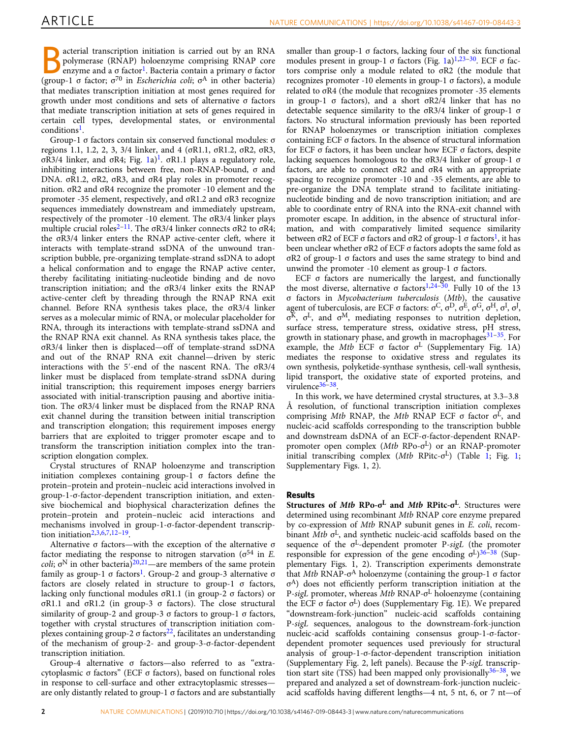B acterial transcription initiation is carried out by an RNA polymerase (RNAP) holoenzyme comprising RNAP core enzyme and a σ factor<sup>[1](#page-12-0)</sup>. Bacteria contain a primary σ factor (group-1 σ factor;  $\sigma^{70}$  in *Escherichia coli*;  $\sigma^{A}$  in other bacteria) that mediates transcription initiation at most genes required for growth under most conditions and sets of alternative σ factors that mediate transcription initiation at sets of genes required in certain cell types, developmental states, or environmental conditions<sup>[1](#page-12-0)</sup>.

Group-1 σ factors contain six conserved functional modules: σ regions 1.1, 1.2, 2, 3, 3/4 linker, and 4 (σR1.1, σR1.2, σR2, σR3, σR3/4 linker, and σR4; Fig. [1](#page-12-0)a)<sup>1</sup>. σR1.1 plays a regulatory role, inhibiting interactions between free, non-RNAP-bound, σ and DNA. σR1.2, σR2, σR3, and σR4 play roles in promoter recognition. σR2 and σR4 recognize the promoter -10 element and the promoter -35 element, respectively, and σR1.2 and σR3 recognize sequences immediately downstream and immediately upstream, respectively of the promoter -10 element. The σR3/4 linker plays multiple crucial roles<sup>[2](#page-12-0)–[11](#page-12-0)</sup>. The  $\sigma$ R3/4 linker connects  $\sigma$ R2 to  $\sigma$ R4; the σR3/4 linker enters the RNAP active-center cleft, where it interacts with template-strand ssDNA of the unwound transcription bubble, pre-organizing template-strand ssDNA to adopt a helical conformation and to engage the RNAP active center, thereby facilitating initiating-nucleotide binding and de novo transcription initiation; and the σR3/4 linker exits the RNAP active-center cleft by threading through the RNAP RNA exit channel. Before RNA synthesis takes place, the σR3/4 linker serves as a molecular mimic of RNA, or molecular placeholder for RNA, through its interactions with template-strand ssDNA and the RNAP RNA exit channel. As RNA synthesis takes place, the σR3/4 linker then is displaced—off of template-strand ssDNA and out of the RNAP RNA exit channel—driven by steric interactions with the 5′-end of the nascent RNA. The σR3/4 linker must be displaced from template-strand ssDNA during initial transcription; this requirement imposes energy barriers associated with initial-transcription pausing and abortive initiation. The σR3/4 linker must be displaced from the RNAP RNA exit channel during the transition between initial transcription and transcription elongation; this requirement imposes energy barriers that are exploited to trigger promoter escape and to transform the transcription initiation complex into the transcription elongation complex.

Crystal structures of RNAP holoenzyme and transcription initiation complexes containing group-1  $\sigma$  factors define the protein–protein and protein–nucleic acid interactions involved in group-1-σ-factor-dependent transcription initiation, and extensive biochemical and biophysical characterization defines the protein–protein and protein–nucleic acid interactions and mechanisms involved in group-1-σ-factor-dependent transcrip-tion initiation<sup>[2](#page-12-0),[3,6,7](#page-12-0),[12](#page-12-0)-[19](#page-12-0)</sup>.

Alternative σ factors—with the exception of the alternative σ factor mediating the response to nitrogen starvation ( $\sigma^{54}$  in E. coli;  $\sigma^{N}$  in other bacteria)<sup>[20,21](#page-12-0)</sup>—are members of the same protein family as group-[1](#page-12-0) σ factors<sup>1</sup>. Group-2 and group-3 alternative σ factors are closely related in structure to group-1 σ factors, lacking only functional modules σR1.1 (in group-2 σ factors) or σR1.1 and σR1.2 (in group-3 σ factors). The close structural similarity of group-2 and group-3 σ factors to group-1 σ factors, together with crystal structures of transcription initiation com-plexes containing group-2 σ factors<sup>[22](#page-12-0)</sup>, facilitates an understanding of the mechanism of group-2- and group-3-σ-factor-dependent transcription initiation.

Group-4 alternative σ factors—also referred to as "extracytoplasmic σ factors" (ECF σ factors), based on functional roles in response to cell-surface and other extracytoplasmic stresses are only distantly related to group-1  $\sigma$  factors and are substantially

smaller than group-1  $\sigma$  factors, lacking four of the six functional modules present in group-[1](#page-2-0)  $\sigma$  factors (Fig. 1a)<sup>[1,23](#page-12-0)–[30](#page-12-0)</sup>. ECF  $\sigma$  factors comprise only a module related to σR2 (the module that recognizes promoter -10 elements in group-1 σ factors), a module related to σR4 (the module that recognizes promoter -35 elements in group-1  $\sigma$  factors), and a short  $\sigma R2/4$  linker that has no detectable sequence similarity to the σR3/4 linker of group-1 σ factors. No structural information previously has been reported for RNAP holoenzymes or transcription initiation complexes containing ECF σ factors. In the absence of structural information for ECF σ factors, it has been unclear how ECF σ factors, despite lacking sequences homologous to the σR3/4 linker of group-1 σ factors, are able to connect σR2 and σR4 with an appropriate spacing to recognize promoter -10 and -35 elements, are able to pre-organize the DNA template strand to facilitate initiatingnucleotide binding and de novo transcription initiation; and are able to coordinate entry of RNA into the RNA-exit channel with promoter escape. In addition, in the absence of structural information, and with comparatively limited sequence similarity between σR2 of ECF σ factors and σR2 of group-[1](#page-12-0) σ factors<sup>1</sup>, it has been unclear whether σR2 of ECF σ factors adopts the same fold as σR2 of group-1 σ factors and uses the same strategy to bind and unwind the promoter -10 element as group-1 σ factors.

ECF  $\sigma$  factors are numerically the largest, and functionally the most diverse, alternative σ factors<sup>[1,24](#page-12-0)–[30](#page-12-0)</sup>. Fully 10 of the 13 σ factors in Mycobacterium tuberculosis (Mtb), the causative agent of tuberculosis, are ECF σ factors:  $\sigma$ <sup>C</sup>,  $\sigma$ <sup>D</sup>,  $\sigma$ <sup>E</sup>,  $\sigma$ <sup>G</sup>,  $\sigma$ <sup>H</sup>,  $\sigma$ <sup>I</sup>,  $\sigma$ <sup>I</sup> σ <sup>K</sup>, σ <sup>L</sup>, and σM, mediating responses to nutrition depletion, surface stress, temperature stress, oxidative stress, pH stress, growth in stationary phase, and growth in macrophages $31-35$  $31-35$  $31-35$ . For example, the Mtb ECF σ factor  $σ<sup>L</sup>$  (Supplementary Fig. 1A) mediates the response to oxidative stress and regulates its own synthesis, polyketide-synthase synthesis, cell-wall synthesis, lipid transport, the oxidative state of exported proteins, and virulence<sup>[36](#page-12-0)-[38](#page-13-0)</sup>.

In this work, we have determined crystal structures, at 3.3–3.8 Å resolution, of functional transcription initiation complexes comprising Mtb RNAP, the Mtb RNAP ECF  $\sigma$  factor  $\sigma^{\bar{L}}$ , and nucleic-acid scaffolds corresponding to the transcription bubble and downstream dsDNA of an ECF-σ-factor-dependent RNAPpromoter open complex (Mtb RPo-σ <sup>L</sup>) or an RNAP-promoter initial transcribing complex (Mtb RPitc-σ <sup>L</sup>) (Table [1;](#page-3-0) Fig. [1;](#page-2-0) Supplementary Figs. 1, 2).

## Results

Structures of *Mtb* RPo-σ<sup>L</sup> and *Mtb* RPitc-σ<sup>L</sup>. Structures were determined using recombinant Mtb RNAP core enzyme prepared by co-expression of Mtb RNAP subunit genes in E. coli, recombinant  $\dot{M}tb$   $\sigma^{L}$ , and synthetic nucleic-acid scaffolds based on the sequence of the σ <sup>L</sup>-dependent promoter P-sigL (the promoter responsible for expression of the gene encoding  $\sigma^L$ )<sup>[36](#page-12-0)-[38](#page-13-0)</sup> (Supplementary Figs. 1, 2). Transcription experiments demonstrate that Mtb RNAP-σ <sup>A</sup> holoenzyme (containing the group-1 σ factor σ <sup>A</sup>) does not efficiently perform transcription initiation at the P-sigL promoter, whereas Mtb RNAP-σ<sup>L</sup> holoenzyme (containing the ECF σ factor σ <sup>L</sup>) does (Supplementary Fig. 1E). We prepared "downstream-fork-junction" nucleic-acid scaffolds containing P-sigL sequences, analogous to the downstream-fork-junction nucleic-acid scaffolds containing consensus group-1-σ-factordependent promoter sequences used previously for structural analysis of group-1-σ-factor-dependent transcription initiation (Supplementary Fig. 2, left panels). Because the P-sigL transcription start site (TSS) had been mapped only provisionally  $36-38$  $36-38$  $36-38$ , we prepared and analyzed a set of downstream-fork-junction nucleicacid scaffolds having different lengths—4 nt, 5 nt, 6, or 7 nt—of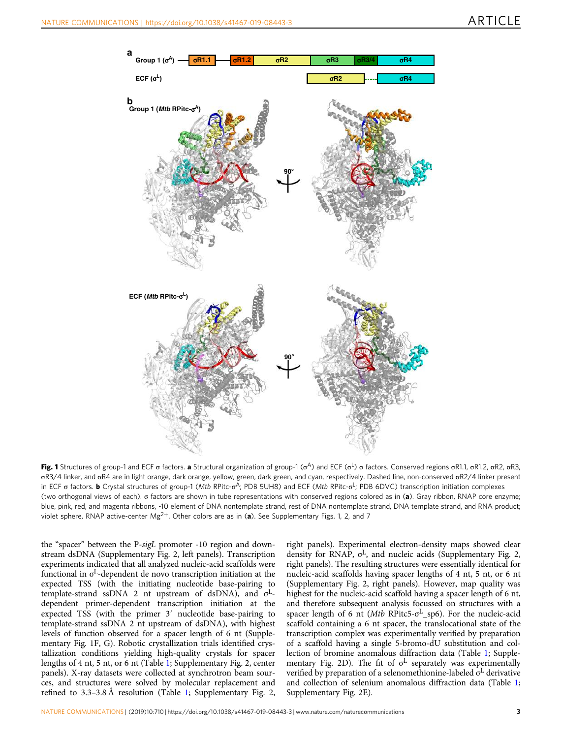<span id="page-2-0"></span>

**Fig. 1** Structures of group-1 and ECF σ factors. **a** Structural organization of group-1 (σ<sup>A</sup>) and ECF (σ<sup>L</sup>) σ factors. Conserved regions σR1.1, σR1.2, σR2, σR3, σR3/4 linker, and σR4 are in light orange, dark orange, yellow, green, dark green, and cyan, respectively. Dashed line, non-conserved σR2/4 linker present in ECF σ factors. **b** Crystal structures of group-1 (*Mtb* RPitc-σ<sup>A</sup>; PDB 5UH8) and ECF (*Mtb* RPitc-σ<sup>L</sup>; PDB 6DVC) transcription initiation complexes (two orthogonal views of each). σ factors are shown in tube representations with conserved regions colored as in (a). Gray ribbon, RNAP core enzyme; blue, pink, red, and magenta ribbons, -10 element of DNA nontemplate strand, rest of DNA nontemplate strand, DNA template strand, and RNA product; violet sphere, RNAP active-center Mg<sup>2+</sup>. Other colors are as in (a). See Supplementary Figs. 1, 2, and 7

the "spacer" between the P-sigL promoter -10 region and downstream dsDNA (Supplementary Fig. 2, left panels). Transcription experiments indicated that all analyzed nucleic-acid scaffolds were functional in σ <sup>L</sup>-dependent de novo transcription initiation at the expected TSS (with the initiating nucleotide base-pairing to template-strand ssDNA 2 nt upstream of dsDNA), and  $\sigma^L$ dependent primer-dependent transcription initiation at the expected TSS (with the primer 3′ nucleotide base-pairing to template-strand ssDNA 2 nt upstream of dsDNA), with highest levels of function observed for a spacer length of 6 nt (Supplementary Fig. 1F, G). Robotic crystallization trials identified crystallization conditions yielding high-quality crystals for spacer lengths of 4 nt, 5 nt, or 6 nt (Table [1](#page-3-0); Supplementary Fig. 2, center panels). X-ray datasets were collected at synchrotron beam sources, and structures were solved by molecular replacement and refined to 3.3–3.8 Å resolution (Table [1](#page-3-0); Supplementary Fig. 2, right panels). Experimental electron-density maps showed clear density for RNAP, σ <sup>L</sup>, and nucleic acids (Supplementary Fig. 2, right panels). The resulting structures were essentially identical for nucleic-acid scaffolds having spacer lengths of 4 nt, 5 nt, or 6 nt (Supplementary Fig. 2, right panels). However, map quality was highest for the nucleic-acid scaffold having a spacer length of 6 nt, and therefore subsequent analysis focussed on structures with a spacer length of 6 nt (Mtb RPitc5-σ <sup>L</sup>\_sp6). For the nucleic-acid scaffold containing a 6 nt spacer, the translocational state of the transcription complex was experimentally verified by preparation of a scaffold having a single 5-bromo-dU substitution and collection of bromine anomalous diffraction data (Table [1](#page-3-0); Supplementary Fig. 2D). The fit of  $\sigma^L$  separately was experimentally verified by preparation of a selenomethionine-labeled σ<sup>L</sup> derivative and collection of selenium anomalous diffraction data (Table [1;](#page-3-0) Supplementary Fig. 2E).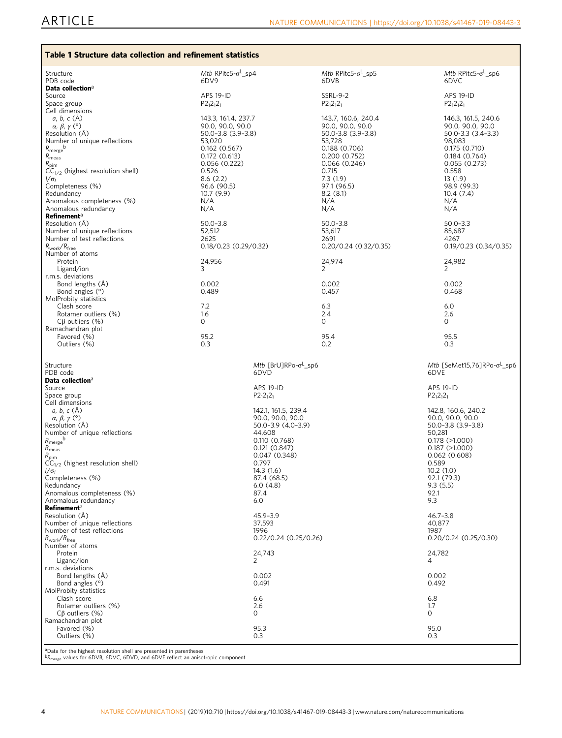<span id="page-3-0"></span>

| Mtb RPitc5- $\sigma^L$ sp4<br>6DV9                                                                                                                                                                                                                                           | Mtb RPitc5- $\sigma^L$ _sp5<br>6DVB                                                                                                                                                                                                                                | Mtb RPitc5- $\sigma^L$ _sp6<br>6DVC                                                                                                                                                                                                                                                                                                                                                                                                  |
|------------------------------------------------------------------------------------------------------------------------------------------------------------------------------------------------------------------------------------------------------------------------------|--------------------------------------------------------------------------------------------------------------------------------------------------------------------------------------------------------------------------------------------------------------------|--------------------------------------------------------------------------------------------------------------------------------------------------------------------------------------------------------------------------------------------------------------------------------------------------------------------------------------------------------------------------------------------------------------------------------------|
| <b>APS 19-ID</b>                                                                                                                                                                                                                                                             | <b>SSRL-9-2</b>                                                                                                                                                                                                                                                    | <b>APS 19-ID</b><br>$P2_12_12_1$                                                                                                                                                                                                                                                                                                                                                                                                     |
| 143.3, 161.4, 237.7<br>90.0, 90.0, 90.0<br>$50.0 - 3.8$ $(3.9 - 3.8)$<br>53,020<br>0.162(0.567)<br>0.172(0.613)<br>0.056 (0.222)<br>0.526<br>8.6(2.2)<br>96.6 (90.5)<br>10.7 (9.9)<br>N/A<br>N/A<br>$50.0 - 3.8$<br>52,512<br>2625<br>$0.18/0.23$ (0.29/0.32)<br>24,956<br>3 | 143.7, 160.6, 240.4<br>90.0, 90.0, 90.0<br>50.0-3.8 (3.9-3.8)<br>53,728<br>0.188 (0.706)<br>0.200(0.752)<br>0.066(0.246)<br>0.715<br>7.3(1.9)<br>97.1 (96.5)<br>8.2(8.1)<br>N/A<br>N/A<br>$50.0 - 3.8$<br>53.617<br>2691<br>$0.20/0.24$ (0.32/0.35)<br>24.974<br>2 | 146.3, 161.5, 240.6<br>90.0, 90.0, 90.0<br>$50.0 - 3.3(3.4 - 3.3)$<br>98,083<br>0.175(0.710)<br>0.184(0.764)<br>0.055(0.273)<br>0.558<br>13 (1.9)<br>98.9 (99.3)<br>10.4(7.4)<br>N/A<br>N/A<br>$50.0 - 3.3$<br>85,687<br>4267<br>$0.19/0.23$ (0.34/0.35)<br>24,982<br>2                                                                                                                                                              |
| 0.489<br>7.2                                                                                                                                                                                                                                                                 | 0.002<br>0.457<br>6.3                                                                                                                                                                                                                                              | 0.002<br>0.468<br>6.0<br>2.6                                                                                                                                                                                                                                                                                                                                                                                                         |
| $\circ$<br>95.2                                                                                                                                                                                                                                                              | 0<br>95.4                                                                                                                                                                                                                                                          | $\Omega$<br>95.5<br>0.3                                                                                                                                                                                                                                                                                                                                                                                                              |
| 6DVD<br><b>APS 19-ID</b><br>$P2_12_12_1$<br>44,608<br>0.797<br>14.3 (1.6)<br>6.0(4.8)<br>87.4<br>6.0<br>45.9-3.9<br>37,593<br>1996<br>24,743<br>2<br>0.002<br>0.491<br>6.6<br>2.6<br>0<br>95.3<br>0.3                                                                        |                                                                                                                                                                                                                                                                    | Mtb [SeMet15,76]RPo- $\sigma^L$ _sp6<br>6DVE<br><b>APS 19-ID</b><br>$P2_12_12_1$<br>142.8, 160.6, 240.2<br>90.0, 90.0, 90.0<br>$50.0 - 3.8$ $(3.9 - 3.8)$<br>50,281<br>$0.178$ ( $>1.000$ )<br>$0.187$ ( $>1.000$ )<br>0.062(0.608)<br>0.589<br>10.2 (1.0)<br>92.1 (79.3)<br>9.3(5.5)<br>92.1<br>9.3<br>$46.7 - 3.8$<br>40,877<br>1987<br>$0.20/0.24$ (0.25/0.30)<br>24,782<br>4<br>0.002<br>0.492<br>6.8<br>1.7<br>0<br>95.0<br>0.3 |
|                                                                                                                                                                                                                                                                              | Table 1 Structure data collection and refinement statistics<br>$P2_12_12_1$<br>0.002<br>1.6<br>0.3                                                                                                                                                                 | $P2_12_12_1$<br>2.4<br>0.2<br>Mtb [BrU]RPo- $\sigma^L$ _sp6<br>142.1, 161.5, 239.4<br>90.0, 90.0, 90.0<br>50.0-3.9 (4.0-3.9)<br>0.110(0.768)<br>0.121(0.847)<br>0.047(0.348)<br>87.4 (68.5)<br>$0.22/0.24$ (0.25/0.26)                                                                                                                                                                                                               |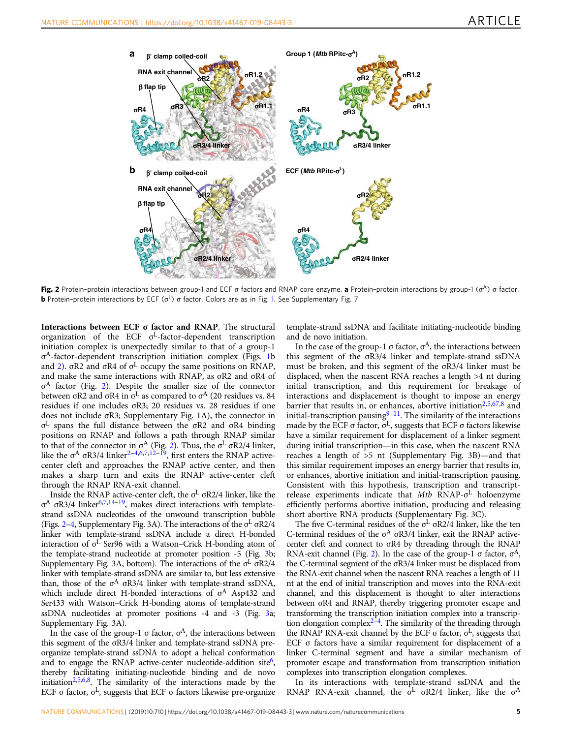<span id="page-4-0"></span>

**Fig. 2** Protein-protein interactions between group-1 and ECF σ factors and RNAP core enzyme. a Protein-protein interactions by group-1 (σ<sup>A</sup>) σ factor. **b** Protein-protein interactions by ECF ( $\sigma$ <sup>L</sup>)  $\sigma$  factor. Colors are as in Fig. [1](#page-2-0). See Supplementary Fig. 7

Interactions between ECF σ factor and RNAP. The structural organization of the ECF σ <sup>L</sup>-factor-dependent transcription initiation complex is unexpectedly similar to that of a group-1 σ <sup>A</sup>-factor-dependent transcription initiation complex (Figs. [1b](#page-2-0) and 2). σR2 and σR4 of σ<sup>L</sup> occupy the same positions on RNAP, and make the same interactions with RNAP, as σR2 and σR4 of σ <sup>A</sup> factor (Fig. 2). Despite the smaller size of the connector between σR2 and σR4 in  $\sigma^L$  as compared to  $\sigma^A$  (20 residues vs. 84 residues if one includes σR3; 20 residues vs. 28 residues if one does not include σR3; Supplementary Fig. 1A), the connector in σ <sup>L</sup> spans the full distance between the σR2 and σR4 binding positions on RNAP and follows a path through RNAP similar to that of the connector in  $σ<sup>A</sup>$  (Fig. 2). Thus, the  $σ<sup>L</sup>$   $σR2/4$  linker, like the  $\sigma$ <sup>A</sup>  $\sigma$ R3/4 linker<sup>[2](#page-12-0)-[4,6](#page-12-0),[7,12](#page-12-0)-[19](#page-12-0)</sup>, first enters the RNAP activecenter cleft and approaches the RNAP active center, and then makes a sharp turn and exits the RNAP active-center cleft through the RNAP RNA-exit channel.

Inside the RNAP active-center cleft, the  $\sigma^L$   $\sigma$ R2/4 linker, like the σ<sup>A</sup> σR3/4 linker<sup>[6,7,14](#page-12-0)-[19](#page-12-0)</sup>, makes direct interactions with templatestrand ssDNA nucleotides of the unwound transcription bubble (Figs. 2–[4,](#page-6-0) Supplementary Fig. 3A). The interactions of the σ <sup>L</sup> σR2/4 linker with template-strand ssDNA include a direct H-bonded interaction of  $\sigma^L$  Ser96 with a Watson–Crick H-bonding atom of the template-strand nucleotide at promoter position -5 (Fig. [3b](#page-5-0); Supplementary Fig. 3A, bottom). The interactions of the σ<sup>L</sup> σR2/4 linker with template-strand ssDNA are similar to, but less extensive than, those of the  $\sigma^A$   $\sigma$ R3/4 linker with template-strand ssDNA, which include direct H-bonded interactions of σ<sup>A</sup> Asp432 and Ser433 with Watson–Crick H-bonding atoms of template-strand ssDNA nucleotides at promoter positions -4 and -3 (Fig. [3a](#page-5-0); Supplementary Fig. 3A).

In the case of the group-1  $\sigma$  factor,  $\sigma$ <sup>A</sup>, the interactions between this segment of the σR3/4 linker and template-strand ssDNA preorganize template-strand ssDNA to adopt a helical conformation and to engage the RNAP active-center nucleotide-addition site<sup>[6](#page-12-0)</sup>, thereby facilitating initiating-nucleotide binding and de novo initiation<sup>[2,5,6,8](#page-12-0)</sup>. The similarity of the interactions made by the ECF  $\sigma$  factor,  $\sigma$ <sup>L</sup>, suggests that ECF  $\sigma$  factors likewise pre-organize

template-strand ssDNA and facilitate initiating-nucleotide binding and de novo initiation.

In the case of the group-1  $\sigma$  factor,  $\sigma$ <sup>A</sup>, the interactions between this segment of the σR3/4 linker and template-strand ssDNA must be broken, and this segment of the σR3/4 linker must be displaced, when the nascent RNA reaches a length >4 nt during initial transcription, and this requirement for breakage of interactions and displacement is thought to impose an energy barrier that results in, or enhances, abortive initiation<sup>[2,5](#page-12-0),[67,8](#page-12-0)</sup> and initial-transcription pausing $9-11$  $9-11$  $9-11$ . The similarity of the interactions made by the ECF  $\sigma$  factor,  $\sigma^L$ , suggests that ECF  $\sigma$  factors likewise have a similar requirement for displacement of a linker segment during initial transcription—in this case, when the nascent RNA reaches a length of >5 nt (Supplementary Fig. 3B)—and that this similar requirement imposes an energy barrier that results in, or enhances, abortive initiation and initial-transcription pausing. Consistent with this hypothesis, transcription and transcriptrelease experiments indicate that Mtb RNAP-σ<sup>L</sup> holoenzyme efficiently performs abortive initiation, producing and releasing short abortive RNA products (Supplementary Fig. 3C).

The five C-terminal residues of the  $\sigma^L$   $\sigma$ R2/4 linker, like the ten C-terminal residues of the  $σ<sup>A</sup> σR3/4$  linker, exit the RNAP activecenter cleft and connect to σR4 by threading through the RNAP RNA-exit channel (Fig. 2). In the case of the group-1  $\sigma$  factor,  $\sigma$ <sup>A</sup>, the C-terminal segment of the σR3/4 linker must be displaced from the RNA-exit channel when the nascent RNA reaches a length of 11 nt at the end of initial transcription and moves into the RNA-exit channel, and this displacement is thought to alter interactions between σR4 and RNAP, thereby triggering promoter escape and transforming the transcription initiation complex into a transcrip-tion elongation complex<sup>[2](#page-12-0)-[4](#page-12-0)</sup>. The similarity of the threading through the RNAP RNA-exit channel by the ECF σ factor,  $σ<sup>L</sup>$ , suggests that ECF σ factors have a similar requirement for displacement of a linker C-terminal segment and have a similar mechanism of promoter escape and transformation from transcription initiation complexes into transcription elongation complexes.

In its interactions with template-strand ssDNA and the RNAP RNA-exit channel, the  $\sigma^L$   $\sigma R2/4$  linker, like the  $\sigma^A$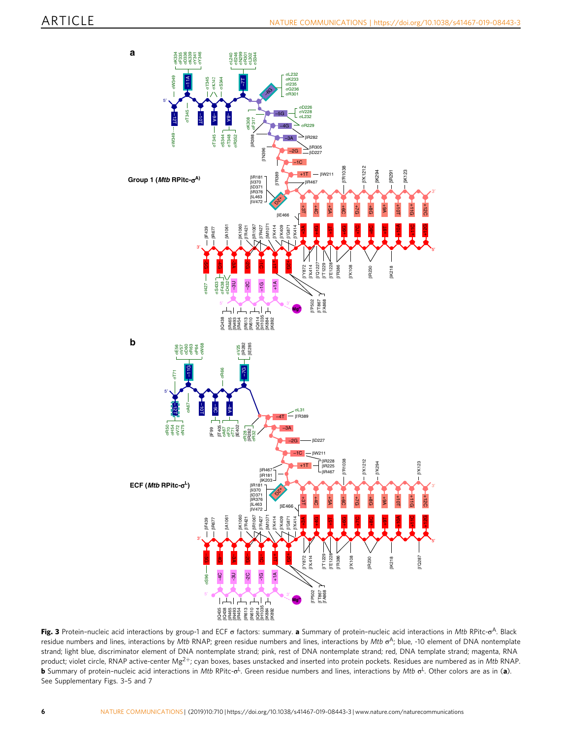<span id="page-5-0"></span>

**Fig. 3** Protein-nucleic acid interactions by group-1 and ECF σ factors: summary. **a** Summary of protein-nucleic acid interactions in *Mtb* RPitc-σ<sup>A</sup>. Black residue numbers and lines, interactions by Mtb RNAP; green residue numbers and lines, interactions by Mtb σ<sup>A</sup>; blue, -10 element of DNA nontemplate strand; light blue, discriminator element of DNA nontemplate strand; pink, rest of DNA nontemplate strand; red, DNA template strand; magenta, RNA product; violet circle, RNAP active-center Mg<sup>2+</sup>; cyan boxes, bases unstacked and inserted into protein pockets. Residues are numbered as in Mtb RNAP. **b** Summary of protein-nucleic acid interactions in Mtb RPitc-σ<sup>L</sup>. Green residue numbers and lines, interactions by Mtb σ<sup>L</sup>. Other colors are as in (**a**). See Supplementary Figs. 3–5 and 7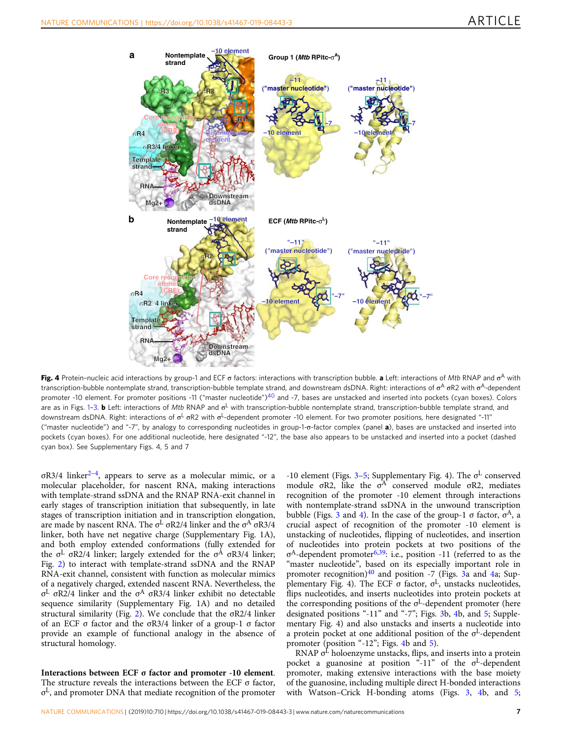<span id="page-6-0"></span>

**Fig. 4** Protein-nucleic acid interactions by group-1 and ECF σ factors: interactions with transcription bubble. **a** Left: interactions of Mtb RNAP and σ<sup>A</sup> with transcription-bubble nontemplate strand, transcription-bubble template strand, and downstream dsDNA. Right: interactions of σ<sup>A</sup> σR2 with σ<sup>A</sup>-dependent promoter -10 element. For promoter positions -11 ("master nucleotide")<sup>[40](#page-13-0)</sup> and -7, bases are unstacked and inserted into pockets (cyan boxes). Colors are as in Figs. [1](#page-2-0)-[3](#page-5-0). **b** Left: interactions of Mtb RNAP and  $\sigma^L$  with transcription-bubble nontemplate strand, transcription-bubble template strand, and downstream dsDNA. Right: interactions of σ<sup>L</sup> σR2 with σ<sup>L</sup>-dependent promoter -10 element. For two promoter positions, here designated "-11" ("master nucleotide") and "-7", by analogy to corresponding nucleotides in group-1-σ-factor complex (panel a), bases are unstacked and inserted into pockets (cyan boxes). For one additional nucleotide, here designated "-12", the base also appears to be unstacked and inserted into a pocket (dashed cyan box). See Supplementary Figs. 4, 5 and 7

σR3/4 linker<sup>[2](#page-12-0)-[4](#page-12-0)</sup>, appears to serve as a molecular mimic, or a molecular placeholder, for nascent RNA, making interactions with template-strand ssDNA and the RNAP RNA-exit channel in early stages of transcription initiation that subsequently, in late stages of transcription initiation and in transcription elongation, are made by nascent RNA. The  $\sigma^L$   $\sigma$ R2/4 linker and the  $\sigma^A$   $\sigma$ R3/4 linker, both have net negative charge (Supplementary Fig. 1A), and both employ extended conformations (fully extended for the σ<sup>L</sup> σR2/4 linker; largely extended for the σ<sup>A</sup> σR3/4 linker; Fig. [2\)](#page-4-0) to interact with template-strand ssDNA and the RNAP RNA-exit channel, consistent with function as molecular mimics of a negatively charged, extended nascent RNA. Nevertheless, the σ <sup>L</sup> σR2/4 linker and the σ <sup>Α</sup> σR3/4 linker exhibit no detectable sequence similarity (Supplementary Fig. 1A) and no detailed structural similarity (Fig. [2](#page-4-0)). We conclude that the σR2/4 linker of an ECF σ factor and the σR3/4 linker of a group-1 σ factor provide an example of functional analogy in the absence of structural homology.

Interactions between ECF σ factor and promoter -10 element. The structure reveals the interactions between the ECF  $\sigma$  factor, σ <sup>L</sup>, and promoter DNA that mediate recognition of the promoter -10 element (Figs. [3](#page-5-0)-[5](#page-7-0); Supplementary Fig. 4). The  $\sigma^L$  conserved module  $\sigma$ R2, like the  $\sigma$ <sup>A</sup> conserved module  $\sigma$ R2, mediates recognition of the promoter -10 element through interactions with nontemplate-strand ssDNA in the unwound transcription bubble (Figs. [3](#page-5-0) and 4). In the case of the group-1  $\sigma$  factor,  $\sigma$ <sup>A</sup>, a crucial aspect of recognition of the promoter -10 element is unstacking of nucleotides, flipping of nucleotides, and insertion of nucleotides into protein pockets at two positions of the σ<sup>A</sup>-dependent promoter<sup>[6](#page-12-0)[,39](#page-13-0)</sup>: i.e., position -11 (referred to as the "master nucleotide", based on its especially important role in promoter recognition) $40$  and position -7 (Figs.  $3a$  and  $4a$ ; Supplementary Fig. 4). The ECF  $\sigma$  factor,  $\sigma^L$ , unstacks nucleotides, flips nucleotides, and inserts nucleotides into protein pockets at the corresponding positions of the σ <sup>L</sup>-dependent promoter (here designated positions "-11" and "-7"; Figs. [3b](#page-5-0), 4b, and [5](#page-7-0); Supplementary Fig. 4) and also unstacks and inserts a nucleotide into a protein pocket at one additional position of the  $\sigma^L$ -dependent promoter (position "-12"; Figs. 4b and [5](#page-7-0)).

RNAP  $\sigma^{\text{L}}$  holoenzyme unstacks, flips, and inserts into a protein pocket a guanosine at position "-11" of the σ <sup>L</sup>-dependent promoter, making extensive interactions with the base moiety of the guanosine, including multiple direct H-bonded interactions with Watson–Crick H-bonding atoms (Figs. [3,](#page-5-0) 4b, and [5;](#page-7-0)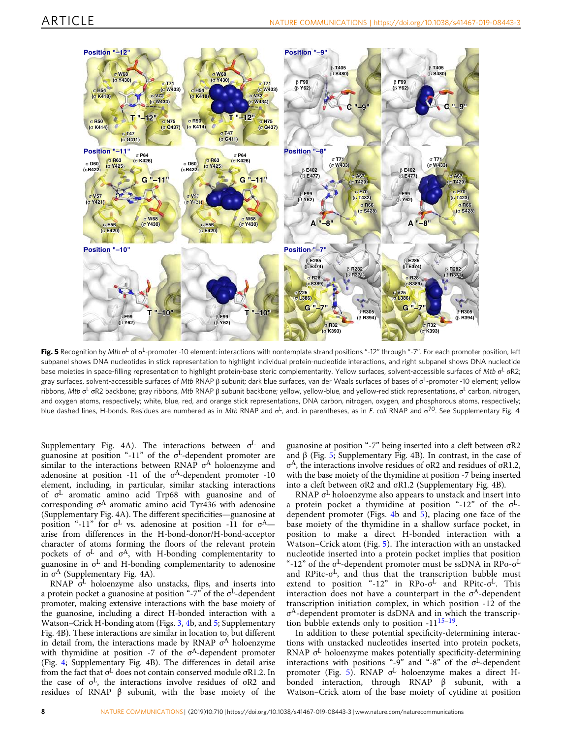<span id="page-7-0"></span>

**Fig. 5** Recognition by Mtb  $\sigma^{\mathsf{L}}$  of  $\sigma^{\mathsf{L}}$ -promoter -10 element: interactions with nontemplate strand positions "-12" through "-7". For each promoter position, left subpanel shows DNA nucleotides in stick representation to highlight individual protein-nucleotide interactions, and right subpanel shows DNA nucleotide base moieties in space-filling representation to highlight protein-base steric complementarity. Yellow surfaces, solvent-accessible surfaces of Mtb σ<sup>L</sup> σR2, gray surfaces, solvent-accessible surfaces of *Mtb* RNAP β subunit; dark blue surfaces, van der Waals surfaces of bases of σ<sup>L</sup>-promoter -10 element; yellow ribbons, Mtb σ<sup>L</sup> σR2 backbone; gray ribbons, Mtb RNAP β subunit backbone; yellow, yellow-blue, and yellow-red stick representations, σ<sup>L</sup> carbon, nitrogen, and oxygen atoms, respectively; white, blue, red, and orange stick representations, DNA carbon, nitrogen, oxygen, and phosphorous atoms, respectively; blue dashed lines, H-bonds. Residues are numbered as in Mtb RNAP and  $\sigma^L$ , and, in parentheses, as in *E. coli* RNAP and  $\sigma^{70}$ . See Supplementary Fig. 4

Supplementary Fig. 4A). The interactions between  $\sigma^{\rm L}$  and guanosine at position "-11" of the  $\sigma^L$ -dependent promoter are similar to the interactions between RNAP  $\sigma^A$  holoenzyme and adenosine at position -11 of the  $\sigma$ <sup>A</sup>-dependent promoter -10 element, including, in particular, similar stacking interactions of σ <sup>L</sup> aromatic amino acid Trp68 with guanosine and of corresponding σ <sup>A</sup> aromatic amino acid Tyr436 with adenosine (Supplementary Fig. 4A). The different specificities—guanosine at position "-11" for  $\sigma^L$  vs. adenosine at position -11 for  $\sigma^A$ arise from differences in the H-bond-donor/H-bond-acceptor character of atoms forming the floors of the relevant protein pockets of σ <sup>L</sup> and σ <sup>A</sup>, with H-bonding complementarity to guanosine in  $\sigma^L$  and H-bonding complementarity to adenosine in  $\sigma^A$  (Supplementary Fig. 4A).

RNAP  $\sigma^L$  holoenzyme also unstacks, flips, and inserts into a protein pocket a guanosine at position "-7" of the  $\sigma^L$ -dependent promoter, making extensive interactions with the base moiety of the guanosine, including a direct H-bonded interaction with a Watson–Crick H-bonding atom (Figs. [3](#page-5-0), [4](#page-6-0)b, and 5; Supplementary Fig. 4B). These interactions are similar in location to, but different in detail from, the interactions made by RNAP  $\sigma^A$  holoenzyme with thymidine at position -7 of the  $\sigma$ <sup>A</sup>-dependent promoter (Fig. [4](#page-6-0); Supplementary Fig. 4B). The differences in detail arise from the fact that  $σ<sup>L</sup>$  does not contain conserved module  $σR1.2$ . In the case of  $\sigma$ <sup>L</sup>, the interactions involve residues of  $\sigma$ R2 and residues of RNAP β subunit, with the base moiety of the

guanosine at position "-7" being inserted into a cleft between σR2 and β (Fig. 5; Supplementary Fig. 4B). In contrast, in the case of σ <sup>A</sup>, the interactions involve residues of σR2 and residues of σR1.2, with the base moiety of the thymidine at position -7 being inserted into a cleft between σR2 and σR1.2 (Supplementary Fig. 4B).

RNAP σ <sup>L</sup> holoenzyme also appears to unstack and insert into a protein pocket a thymidine at position "-12" of the  $\sigma$ <sup>L</sup>dependent promoter (Figs. [4b](#page-6-0) and 5), placing one face of the base moiety of the thymidine in a shallow surface pocket, in position to make a direct H-bonded interaction with a Watson–Crick atom (Fig. 5). The interaction with an unstacked nucleotide inserted into a protein pocket implies that position "-12" of the  $\sigma^L$ -dependent promoter must be ssDNA in RPo- $\sigma^L$ and RPitc-σ<sup>L</sup>, and thus that the transcription bubble must extend to position "-12" in RPo-σ<sup>L</sup> and RPitc-σ<sup>L</sup>. This interaction does not have a counterpart in the  $\sigma^A$ -dependent transcription initiation complex, in which position -12 of the σ <sup>A</sup>-dependent promoter is dsDNA and in which the transcription bubble extends only to position  $-11^{15-19}$  $-11^{15-19}$  $-11^{15-19}$  $-11^{15-19}$  $-11^{15-19}$ .

In addition to these potential specificity-determining interactions with unstacked nucleotides inserted into protein pockets, RNAP  $\sigma^L$  holoenzyme makes potentially specificity-determining interactions with positions "-9" and "-8" of the  $\sigma^L$ -dependent promoter (Fig. 5). RNAP σ <sup>L</sup> holoenzyme makes a direct Hbonded interaction, through RNAP β subunit, with a Watson–Crick atom of the base moiety of cytidine at position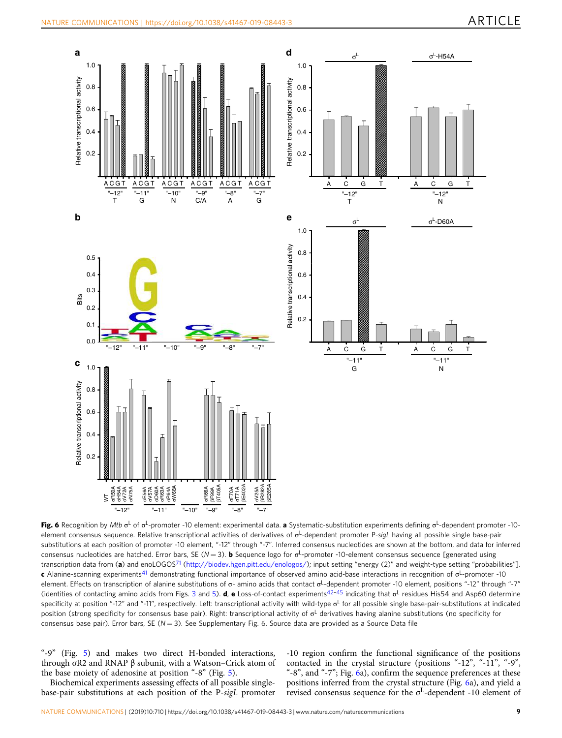<span id="page-8-0"></span>

**Fig. 6** Recognition by Mtb σ<sup>L</sup> of σ<sup>L</sup>-promoter -10 element: experimental data. **a** Systematic-substitution experiments defining σ<sup>L</sup>-dependent promoter -10element consensus sequence. Relative transcriptional activities of derivatives of σ<sup>L</sup>-dependent promoter P-sigL having all possible single base-pair substitutions at each position of promoter -10 element, "-12" through "-7". Inferred consensus nucleotides are shown at the bottom, and data for inferred consensus nucleotides are hatched. Error bars, SE (N = 3). **b** Sequence logo for σ<sup>L</sup>-promoter -10-element consensus sequence [generated using transcription data from (a) and enoLOGOS<sup>[71](#page-13-0)</sup> [\(http://biodev.hgen.pitt.edu/enologos/\)](http://biodev.hgen.pitt.edu/enologos/); input setting "energy (2)" and weight-type setting "probabilities"]. **c** Alanine-scanning experiments<sup>[41](#page-13-0)</sup> demonstrating functional importance of observed amino acid-base interactions in recognition of σ<sup>L</sup>-promoter -10 element. Effects on transcription of alanine substitutions of σ<sup>L</sup> amino acids that contact σ<sup>L</sup>-dependent promoter -10 element, positions "-12" through "-7" (identities of contacting amino acids from Figs. [3](#page-5-0) and [5](#page-7-0)). **d, e** Loss-of-contact experiments<sup>[42](#page-13-0)–[45](#page-13-0)</sup> indicating that  $\sigma^L$  residues His54 and Asp60 determine specificity at position "-12" and "-11", respectively. Left: transcriptional activity with wild-type σ<sup>L</sup> for all possible single base-pair-substitutions at indicated position (strong specificity for consensus base pair). Right: transcriptional activity of  $\sigma^L$  derivatives having alanine substitutions (no specificity for consensus base pair). Error bars, SE ( $N = 3$ ). See Supplementary Fig. 6. Source data are provided as a Source Data file

"-9" (Fig. [5\)](#page-7-0) and makes two direct H-bonded interactions, through σR2 and RNAP β subunit, with a Watson–Crick atom of the base moiety of adenosine at position "-8" (Fig. [5](#page-7-0)).

Biochemical experiments assessing effects of all possible singlebase-pair substitutions at each position of the P-sigL promoter

-10 region confirm the functional significance of the positions contacted in the crystal structure (positions "-12", "-11", "-9", "-8", and "-7"; Fig. 6a), confirm the sequence preferences at these positions inferred from the crystal structure (Fig. 6a), and yield a revised consensus sequence for the  $\sigma^L$ -dependent -10 element of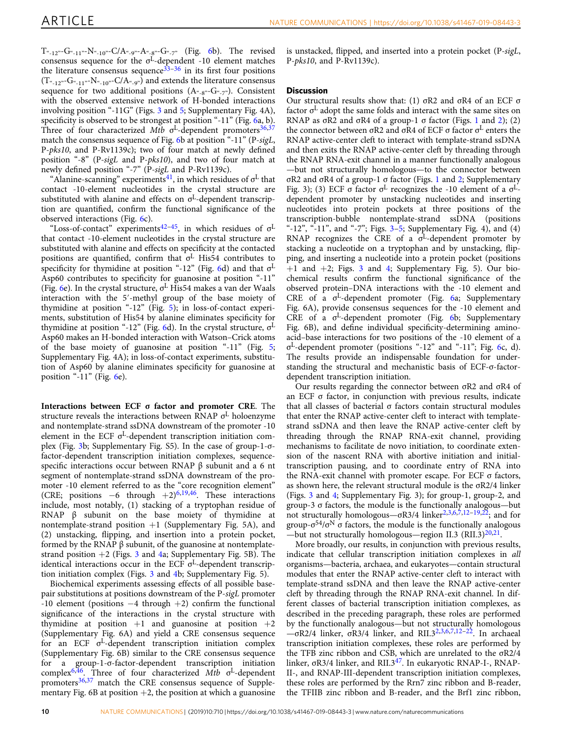$T_{-12}$ "-G $_{-11}$ "-N $_{-10}$ "-C/A $_{-9}$ "-A $_{-8}$ "-G $_{-7}$ " (Fig. [6](#page-8-0)b). The revised consensus sequence for the  $\sigma^{\rm L}$ -dependent -10 element matches the literature consensus sequence  $33-36$  $33-36$  $33-36$  in its first four positions  $(T_{\alpha_{-1}2^{\nu}}\text{-}G_{\alpha_{-1}1^{\nu}}\text{-}N_{\alpha_{-1}0^{\nu}}\text{-}C/A_{\alpha_{-9^{\nu}}})$  and extends the literature consensus sequence for two additional positions  $(A_{\alpha_1} \cdot B_{\alpha_2} \cdot B_{\alpha_3} \cdot C_{\alpha_4} \cdot D_{\alpha_5})$ . Consistent with the observed extensive network of H-bonded interactions involving position "-11G" (Figs. [3](#page-5-0) and [5;](#page-7-0) Supplementary Fig. 4A), specificity is observed to be strongest at position "-11" (Fig. [6](#page-8-0)a, b). Three of four characterized  $Mtb$   $\sigma$ <sup>L</sup>-dependent promoters<sup>[36,37](#page-12-0)</sup> match the consensus sequence of Fig. [6](#page-8-0)b at position "-11" (P-sigL, P-pks10, and P-Rv1139c); two of four match at newly defined position "-8" (P-sigL and P-pks10), and two of four match at newly defined position "-7" (P-sigL and P-Rv1139c).

"Alanine-scanning" experiments<sup>[41](#page-13-0)</sup>, in which residues of  $\sigma^L$  that contact -10-element nucleotides in the crystal structure are substituted with alanine and effects on  $\sigma^L$ -dependent transcription are quantified, confirm the functional significance of the observed interactions (Fig. [6c](#page-8-0)).

"Loss-of-contact" experiments<sup>[42](#page-13-0)-[45](#page-13-0)</sup>, in which residues of  $\sigma$ <sup>L</sup> that contact -10-element nucleotides in the crystal structure are substituted with alanine and effects on specificity at the contacted positions are quantified, confirm that  $\sigma^L$  His54 contributes to specificity for thymidine at position "-12" (Fig. [6d](#page-8-0)) and that σ L Asp60 contributes to specificity for guanosine at position "-11" (Fig. [6e](#page-8-0)). In the crystal structure, σ <sup>L</sup> His54 makes a van der Waals interaction with the 5′-methyl group of the base moiety of thymidine at position "-12" (Fig. [5](#page-7-0)); in loss-of-contact experiments, substitution of His54 by alanine eliminates specificity for thymidine at position "-12" (Fig. [6d](#page-8-0)). In the crystal structure,  $\sigma^L$ Asp60 makes an H-bonded interaction with Watson–Crick atoms of the base moiety of guanosine at position "-11" (Fig. [5;](#page-7-0) Supplementary Fig. 4A); in loss-of-contact experiments, substitution of Asp60 by alanine eliminates specificity for guanosine at position "-11" (Fig. [6](#page-8-0)e).

Interactions between ECF σ factor and promoter CRE. The structure reveals the interactions between RNAP σ <sup>L</sup> holoenzyme and nontemplate-strand ssDNA downstream of the promoter -10 element in the ECF σ<sup>L</sup>-dependent transcription initiation complex (Fig. [3b](#page-5-0); Supplementary Fig. S5). In the case of group-1-σfactor-dependent transcription initiation complexes, sequencespecific interactions occur between RNAP β subunit and a 6 nt segment of nontemplate-strand ssDNA downstream of the promoter -10 element referred to as the "core recognition element" (CRE; positions  $-6$  through  $+2)^{6,19,46}$  $+2)^{6,19,46}$  $+2)^{6,19,46}$  $+2)^{6,19,46}$ . These interactions include, most notably, (1) stacking of a tryptophan residue of RNAP β subunit on the base moiety of thymidine at nontemplate-strand position  $+1$  (Supplementary Fig. 5A), and (2) unstacking, flipping, and insertion into a protein pocket, formed by the RNAP β subunit, of the guanosine at nontemplatestrand position  $+2$  (Figs. [3](#page-5-0) and [4](#page-6-0)a; Supplementary Fig. 5B). The identical interactions occur in the ECF σ<sup>L</sup>-dependent transcription initiation complex (Figs. [3](#page-5-0) and [4](#page-6-0)b; Supplementary Fig. 5).

Biochemical experiments assessing effects of all possible basepair substitutions at positions downstream of the P-sigL promoter -10 element (positions −4 through +2) confirm the functional significance of the interactions in the crystal structure with thymidine at position  $+1$  and guanosine at position  $+2$ (Supplementary Fig. 6A) and yield a CRE consensus sequence for an ECF  $\sigma^L$ -dependent transcription initiation complex (Supplementary Fig. 6B) similar to the CRE consensus sequence for a group-1-σ-factor-dependent transcription initiation complex<sup>[6](#page-12-0),[46](#page-13-0)</sup>. Three of four characterized Mtb  $\sigma^L$ -dependent promoters<sup>[36](#page-12-0),[37](#page-12-0)</sup> match the CRE consensus sequence of Supplementary Fig. 6B at position  $+2$ , the position at which a guanosine is unstacked, flipped, and inserted into a protein pocket (P-sigL, P-pks10, and P-Rv1139c).

## **Discussion**

Our structural results show that: (1) σR2 and σR4 of an ECF σ factor σ <sup>L</sup> adopt the same folds and interact with the same sites on RNAP as  $\sigma$ R[2](#page-4-0) and  $\sigma$ R4 of a group-[1](#page-2-0)  $\sigma$  factor (Figs. 1 and 2); (2) the connector between  $\sigma$ R2 and  $\sigma$ R4 of ECF σ factor  $\sigma$ <sup>L</sup> enters the RNAP active-center cleft to interact with template-strand ssDNA and then exits the RNAP active-center cleft by threading through the RNAP RNA-exit channel in a manner functionally analogous —but not structurally homologous—to the connector between σR2 and σR4 of a group-1 σ factor (Figs. [1](#page-2-0) and [2;](#page-4-0) Supplementary Fig. 3); (3) ECF σ factor  $σ<sup>L</sup>$  recognizes the -10 element of a  $σ<sup>L</sup>$ dependent promoter by unstacking nucleotides and inserting nucleotides into protein pockets at three positions of the transcription-bubble nontemplate-strand ssDNA (positions "-12", "-11", and "-7"; Figs.  $3-5$  $3-5$  $3-5$ ; Supplementary Fig. 4), and (4) RNAP recognizes the CRE of a  $\sigma^L$ -dependent promoter by stacking a nucleotide on a tryptophan and by unstacking, flipping, and inserting a nucleotide into a protein pocket (positions  $+1$  and  $+2$ ; Figs. [3](#page-5-0) and [4;](#page-6-0) Supplementary Fig. 5). Our biochemical results confirm the functional significance of the observed protein–DNA interactions with the -10 element and CRE of a σ <sup>L</sup>-dependent promoter (Fig. [6a](#page-8-0); Supplementary Fig. 6A), provide consensus sequences for the -10 element and CRE of a σ <sup>L</sup>-dependent promoter (Fig. [6](#page-8-0)b; Supplementary Fig. 6B), and define individual specificity-determining aminoacid–base interactions for two positions of the -10 element of a σ <sup>L</sup>-dependent promoter (positions "-12" and "-11"; Fig. [6](#page-8-0)c, d). The results provide an indispensable foundation for understanding the structural and mechanistic basis of ECF-σ-factordependent transcription initiation.

Our results regarding the connector between σR2 and σR4 of an ECF σ factor, in conjunction with previous results, indicate that all classes of bacterial σ factors contain structural modules that enter the RNAP active-center cleft to interact with templatestrand ssDNA and then leave the RNAP active-center cleft by threading through the RNAP RNA-exit channel, providing mechanisms to facilitate de novo initiation, to coordinate extension of the nascent RNA with abortive initiation and initialtranscription pausing, and to coordinate entry of RNA into the RNA-exit channel with promoter escape. For ECF σ factors, as shown here, the relevant structural module is the σR2/4 linker (Figs. [3](#page-5-0) and [4;](#page-6-0) Supplementary Fig. 3); for group-1, group-2, and group-3 σ factors, the module is the functionally analogous—but not structurally homologous—σR3/4 linker<sup>[2,3](#page-12-0),[6,7,12](#page-12-0)-[19,22](#page-12-0)</sup>; and for group- $\sigma^{54}/\sigma^N$   $\sigma$  factors, the module is the functionally analogous —but not structurally homologous—region II.3 (RII.3) $^{20,21}$  $^{20,21}$  $^{20,21}$  $^{20,21}$  $^{20,21}$ .

More broadly, our results, in conjunction with previous results, indicate that cellular transcription initiation complexes in all organisms—bacteria, archaea, and eukaryotes—contain structural modules that enter the RNAP active-center cleft to interact with template-strand ssDNA and then leave the RNAP active-center cleft by threading through the RNAP RNA-exit channel. In different classes of bacterial transcription initiation complexes, as described in the preceding paragraph, these roles are performed by the functionally analogous—but not structurally homologous  $-\sigma R2/4$  $-\sigma R2/4$  $-\sigma R2/4$  linker,  $\sigma R3/4$  linker, and RII.3<sup>2,[3,6,7](#page-12-0),[12](#page-12-0)-[22](#page-12-0)</sup>. In archaeal transcription initiation complexes, these roles are performed by the TFB zinc ribbon and CSB, which are unrelated to the σR2/4 linker, σR3/4 linker, and RII.3[47](#page-13-0). In eukaryotic RNAP-I-, RNAP-II-, and RNAP-III-dependent transcription initiation complexes, these roles are performed by the Rrn7 zinc ribbon and B-reader, the TFIIB zinc ribbon and B-reader, and the Brf1 zinc ribbon,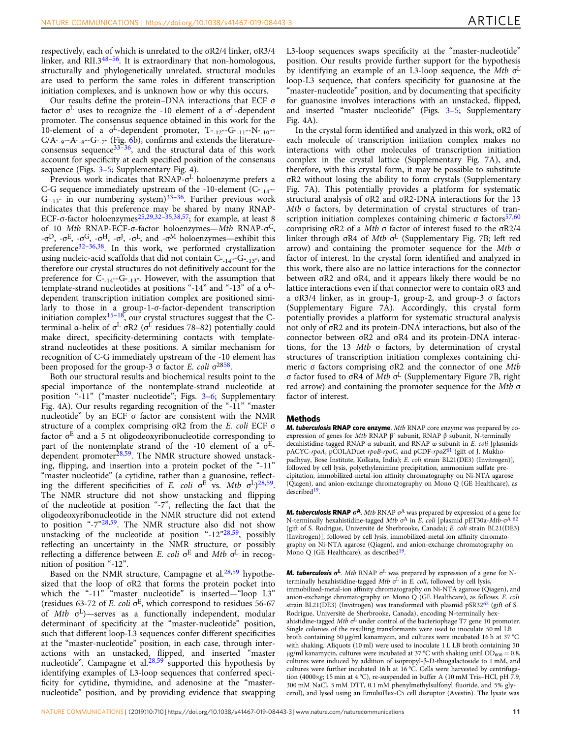respectively, each of which is unrelated to the σR2/4 linker, σR3/4 linker, and RII.3[48](#page-13-0)–[56](#page-13-0). It is extraordinary that non-homologous, structurally and phylogenetically unrelated, structural modules are used to perform the same roles in different transcription initiation complexes, and is unknown how or why this occurs.

Our results define the protein–DNA interactions that ECF σ factor  $\sigma^{\rm L}$  uses to recognize the -10 element of a  $\sigma^{\rm L}$ -dependent promoter. The consensus sequence obtained in this work for the 10-element of a  $\sigma^L$ -dependent promoter,  $T_{\alpha_{-12}}$ -G $_{\alpha_{-11}}$ -N $_{\alpha_{-10}}$ - $C/A_{\alpha_9\alpha_7}A_{\alpha_8\alpha_8}G_{\alpha_7\alpha_9}$  (Fig. [6](#page-8-0)b), confirms and extends the literatureconsensus sequence  $33-36$  $33-36$  $33-36$ , and the structural data of this work account for specificity at each specified position of the consensus sequence (Figs. [3](#page-5-0)–[5](#page-7-0); Supplementary Fig. 4).

Previous work indicates that RNAP-σ<sup>L</sup> holoenzyme prefers a C-G sequence immediately upstream of the -10-element  $(C_{-14}^{\circ}$ - $G_{-13}$ " in our numbering system)<sup>[33](#page-12-0)–[36](#page-12-0)</sup>. Further previous work indicates that this preference may be shared by many RNAP-ECF- $\sigma$ -factor holoenzymes<sup>[25](#page-12-0),[29](#page-12-0),[32](#page-12-0)–[35](#page-12-0),[38](#page-13-0),[57](#page-13-0)</sup>; for example, at least 8 of 10 Mtb RNAP-ECF-σ-factor holoenzymes-Mtb RNAP-σ<sup>C</sup>, -σ<sup>D</sup>, -σ<sup>E</sup>, -σ<sup>G</sup>, -σ<sup>H</sup>, -σ<sup>J</sup>, -σ<sup>L</sup>, and -σ<sup>M</sup> holoenzymes—exhibit this preference[32](#page-12-0)–[36](#page-12-0)[,38](#page-13-0). In this work, we performed crystallization using nucleic-acid scaffolds that did not contain  $\mathrm{C}_{\mathrm{``-14''}}\text{-}\mathrm{G}_{\mathrm{``-13''}},$  and therefore our crystal structures do not definitively account for the preference for  $\mathrm{C}_{\varepsilon_{1} 4^{\mathrm{n}} \textrm{-} \mathrm{G}_{\varepsilon_{1} 3^{\mathrm{n}} \textrm{-}}}$  However, with the assumption that template-strand nucleotides at positions "-14" and "-13" of a  $\sigma$ <sup>L</sup>dependent transcription initiation complex are positioned similarly to those in a group-1-σ-factor-dependent transcription initiation complex $15-18$  $15-18$  $15-18$ , our crystal structures suggest that the Cterminal α-helix of  $\sigma^L$  σR2 ( $\sigma^L$  residues 78–82) potentially could make direct, specificity-determining contacts with templatestrand nucleotides at these positions. A similar mechanism for recognition of C-G immediately upstream of the -10 element has been proposed for the group-3  $\sigma$  factor E. coli  $\sigma^{2858}$  $\sigma^{2858}$  $\sigma^{2858}$ .

Both our structural results and biochemical results point to the special importance of the nontemplate-strand nucleotide at position "-11" ("master nucleotide"; Figs. [3](#page-5-0)–[6;](#page-8-0) Supplementary Fig. 4A). Our results regarding recognition of the "-11" "master nucleotide" by an ECF σ factor are consistent with the NMR structure of a complex comprising σR2 from the E. coli ECF σ factor  $\sigma^E$  and a 5 nt oligodeoxyribonucleotide corresponding to part of the nontemplate strand of the -10 element of a  $\sigma^{E}$ dependent promoter $28,59$  $28,59$  $28,59$ . The NMR structure showed unstacking, flipping, and insertion into a protein pocket of the "-11" "master nucleotide" (a cytidine, rather than a guanosine, reflecting the different specificities of E. coli  $\sigma^E$  vs. Mtb  $\sigma^L$ )<sup>[28,](#page-12-0)[59](#page-13-0)</sup>. The NMR structure did not show unstacking and flipping of the nucleotide at position "-7", reflecting the fact that the oligodeoxyribonucleotide in the NMR structure did not extend to position "-7"[28](#page-12-0),[59](#page-13-0). The NMR structure also did not show unstacking of the nucleotide at position "-12"[28](#page-12-0),[59](#page-13-0), possibly reflecting an uncertainty in the NMR structure, or possibly reflecting a difference between E. coli  $\sigma^E$  and Mtb  $\sigma^L$  in recognition of position "-12".

Based on the NMR structure, Campagne et al. $28,59$  $28,59$  hypothesized that the loop of σR2 that forms the protein pocket into which the "-11" "master nucleotide" is inserted—"loop L3" (residues 63-72 of E. coli  $\sigma$ <sup>E</sup>, which correspond to residues 56-67 of Mtb σ <sup>L</sup>)—serves as a functionally independent, modular determinant of specificity at the "master-nucleotide" position, such that different loop-L3 sequences confer different specificities at the "master-nucleotide" position, in each case, through interactions with an unstacked, flipped, and inserted "master nucleotide". Campagne et al. $28,59$  $28,59$  supported this hypothesis by identifying examples of L3-loop sequences that conferred specificity for cytidine, thymidine, and adenosine at the "masternucleotide" position, and by providing evidence that swapping

L3-loop sequences swaps specificity at the "master-nucleotide" position. Our results provide further support for the hypothesis by identifying an example of an L3-loop sequence, the Mtb σ L loop-L3 sequence, that confers specificity for guanosine at the "master-nucleotide" position, and by documenting that specificity for guanosine involves interactions with an unstacked, flipped, and inserted "master nucleotide" (Figs. [3](#page-5-0)–[5](#page-7-0); Supplementary Fig. 4A).

In the crystal form identified and analyzed in this work, σR2 of each molecule of transcription initiation complex makes no interactions with other molecules of transcription initiation complex in the crystal lattice (Supplementary Fig. 7A), and, therefore, with this crystal form, it may be possible to substitute σR2 without losing the ability to form crystals (Supplementary Fig. 7A). This potentially provides a platform for systematic structural analysis of σR2 and σR2-DNA interactions for the 13 Mtb σ factors, by determination of crystal structures of transcription initiation complexes containing chimeric  $\sigma$  factors<sup>[57,60](#page-13-0)</sup> comprising σR2 of a Mtb σ factor of interest fused to the σR2/4 linker through σR4 of Mtb σ <sup>L</sup> (Supplementary Fig. 7B; left red arrow) and containing the promoter sequence for the Mtb σ factor of interest. In the crystal form identified and analyzed in this work, there also are no lattice interactions for the connector between σR2 and σR4, and it appears likely there would be no lattice interactions even if that connector were to contain σR3 and a σR3/4 linker, as in group-1, group-2, and group-3 σ factors (Supplementary Figure 7A). Accordingly, this crystal form potentially provides a platform for systematic structural analysis not only of σR2 and its protein-DNA interactions, but also of the connector between σR2 and σR4 and its protein-DNA interactions, for the 13 Mtb σ factors, by determination of crystal structures of transcription initiation complexes containing chimeric σ factors comprising σR2 and the connector of one Mtb σ factor fused to σR4 of Mtb σ <sup>L</sup> (Supplementary Figure 7B, right red arrow) and containing the promoter sequence for the Mtb σ factor of interest.

#### Methods

M. tuberculosis RNAP core enzyme. Mtb RNAP core enzyme was prepared by coexpression of genes for Mtb RNAP β′ subunit, RNAP β subunit, N-terminally decahistidine-tagged RNAP α subunit, and RNAP ω subunit in E. coli [plasmids pACYC-rpoA, pCOLADuet-rpoB-rpoC, and pCDF-rpoZ<sup>[61](#page-13-0)</sup> (gift of J. Mukhopadhyay, Bose Institute, Kolkata, India); E. coli strain BL21(DE3) (Invitrogen)], followed by cell lysis, polyethylenimine precipitation, ammonium sulfate precipitation, immobilized-metal-ion affinity chromatography on Ni-NTA agarose (Qiagen), and anion-exchange chromatography on Mono Q (GE Healthcare), as described<sup>[19](#page-12-0)</sup>.

**M. tuberculosis RNAP**  $\sigma^A$ . Mtb RNAP  $\sigma^A$  was prepared by expression of a gene for N-terminally hexahistidine-tagged Mtb  $\sigma^A$  in E. coli [plasmid pET30a-Mtb- $\sigma^A$ <sup>[62](#page-13-0)</sup> (gift of S. Rodrigue, Universitė de Sherbrooke, Canada); E. coli strain BL21(DE3) (Invitrogen)], followed by cell lysis, immobilized-metal-ion affinity chromatography on Ni-NTA agarose (Qiagen), and anion-exchange chromatography on Mono Q (GE Healthcare), as described<sup>[19](#page-12-0)</sup>.

**M. tuberculosis**  $\sigma^L$ . Mtb RNAP  $\sigma^L$  was prepared by expression of a gene for Nterminally hexahistidine-tagged Mtb  $\sigma^L$  in E. coli, followed by cell lysis, immobilized-metal-ion affinity chromatography on Ni-NTA agarose (Qiagen), and anion-exchange chromatography on Mono Q (GE Healthcare), as follows. E. coli strain BL21(DE3) (Invitrogen) was transformed with plasmid pSR32 $62$  (gift of S. Rodrigue, Universitė de Sherbrooke, Canada), encoding N-terminally hexahistidine-tagged Mtb  $\sigma$ <sup>L</sup> under control of the bacteriophage T7 gene 10 promoter. Single colonies of the resulting transformants were used to inoculate 50 ml LB broth containing 50 μg/ml kanamycin, and cultures were incubated 16 h at 37 °C with shaking. Aliquots (10 ml) were used to inoculate 1 L LB broth containing 50 μg/ml kanamycin, cultures were incubated at 37 °C with shaking until  $OD_{600} = 0.8$ , cultures were induced by addition of isopropyl-β-D-thiogalactoside to 1 mM, and cultures were further incubated 16 h at 16 °C. Cells were harvested by centrifugation (4000×g; 15 min at 4 °C), re-suspended in buffer A (10 mM Tris-HCl, pH 7.9, 300 mM NaCl, 5 mM DTT, 0.1 mM phenylmethylsulfonyl fluoride, and 5% glycerol), and lysed using an EmulsiFlex-C5 cell disruptor (Avestin). The lysate was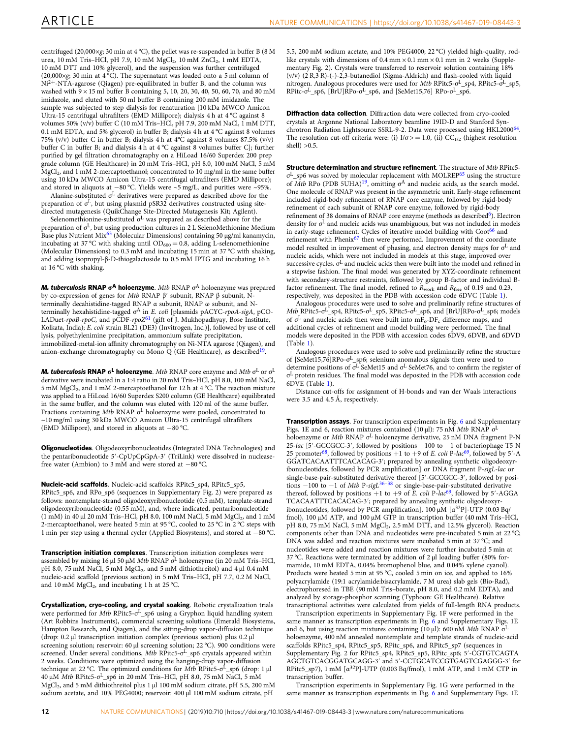centrifuged (20,000×g; 30 min at 4 °C), the pellet was re-suspended in buffer B (8 M urea, 10 mM Tris–HCl, pH 7.9, 10 mM MgCl<sub>2</sub>, 10 mM ZnCl<sub>2</sub>, 1 mM EDTA, 10 mM DTT and 10% glycerol), and the suspension was further centrifuged (20,000×g; 30 min at 4 °C). The supernatant was loaded onto a 5 ml column of Ni2+-NTA-agarose (Qiagen) pre-equilibrated in buffer B, and the column was washed with 9 × 15 ml buffer B containing 5, 10, 20, 30, 40, 50, 60, 70, and 80 mM imidazole, and eluted with 50 ml buffer B containing 200 mM imidazole. The sample was subjected to step dialysis for renaturation [10 kDa MWCO Amicon Ultra-15 centrifugal ultrafilters (EMD Millipore); dialysis 4 h at 4 °C against 8 volumes 50% (v/v) buffer C (10 mM Tris–HCl, pH 7.9, 200 mM NaCl, 1 mM DTT, 0.1 mM EDTA, and 5% glycerol) in buffer B; dialysis 4 h at 4 °C against 8 volumes 75% (v/v) buffer C in buffer B; dialysis 4 h at 4°C against 8 volumes 87.5% (v/v) buffer C in buffer B; and dialysis 4 h at 4 °C against 8 volumes buffer C]; further purified by gel filtration chromatography on a HiLoad 16/60 Superdex 200 prep grade column (GE Healthcare) in 20 mM Tris–HCl, pH 8.0, 100 mM NaCl, 5 mM MgCl<sup>2</sup> , and 1 mM 2-mercaptoethanol; concentrated to 10 mg/ml in the same buffer using 10 kDa MWCO Amicon Ultra-15 centrifugal ultrafilters (EMD Millipore); and stored in aliquots at −80 °C. Yields were ~5 mg/L, and purities were ~95%.

Alanine-substituted  $\sigma^L$  derivatives were prepared as described above for the preparation of  $\sigma^{\text{L}}$ , but using plasmid pSR32 derivatives constructed using sitedirected mutagenesis (QuikChange Site-Directed Mutagenesis Kit; Agilent).

Selenomethionine-substituted  $\sigma$ <sup>L</sup> was prepared as described above for the preparation of σ <sup>L</sup>, but using production cultures in 2 L SelenoMethionine Medium Base plus Nutrient Mix<sup>[63](#page-13-0)</sup> (Molecular Dimensions) containing 50  $\mu$ g/ml kanamycin, incubating at 37 °C with shaking until  $OD_{600} = 0.8$ , adding L-selenomethionine (Molecular Dimensions) to 0.3 mM and incubating 15 min at 37 °C with shaking, and adding isopropyl-β-D-thiogalactoside to 0.5 mM IPTG and incubating 16 h at 16 °C with shaking.

**M. tuberculosis RNAP**  $\sigma^A$  **holoenzyme**. Mtb RNAP  $\sigma^A$  holoenzyme was prepared by co-expression of genes for Mtb RNAP β′ subunit, RNAP β subunit, Nterminally decahistidine-tagged RNAP α subunit, RNAP ω subunit, and Nterminally hexahistidine-tagged σ <sup>A</sup> in E. coli [plasmids pACYC-rpoA-sigA, pCO-LADuet-rpoB-rpoC, and pCDF-rpoZ<sup>[61](#page-13-0)</sup> (gift of J. Mukhopadhyay, Bose Institute, Kolkata, India); E. coli strain BL21 (DE3) (Invitrogen, Inc.)], followed by use of cell lysis, polyethylenimine precipitation, ammonium sulfate precipitation, immobilized-metal-ion affinity chromatography on Ni-NTA agarose (Qiagen), and anion-exchange chromatography on Mono Q (GE Healthcare), as described<sup>[19](#page-12-0)</sup>.

**M. tuberculosis RNAP**  $\sigma^{\textsf{L}}$  **holoenzyme**. Mtb RNAP core enzyme and Mtb  $\sigma^{\textsf{L}}$  or  $\sigma^{\textsf{L}}$ derivative were incubated in a 1:4 ratio in 20 mM Tris–HCl, pH 8.0, 100 mM NaCl, 5 mM MgCl<sub>2</sub>, and 1 mM 2-mercaptoethanol for 12 h at 4 °C. The reaction mixture was applied to a HiLoad 16/60 Superdex S200 column (GE Healthcare) equilibrated in the same buffer, and the column was eluted with 120 ml of the same buffer. Fractions containing Mtb RNAP  $\sigma^L$  holoenzyme were pooled, concentrated to ~10 mg/ml using 30 kDa MWCO Amicon Ultra-15 centrifugal ultrafilters (EMD Millipore), and stored in aliquots at −80 °C.

Oligonucleotides. Oligodeoxyribonucleotides (Integrated DNA Technologies) and the pentaribonucleotide 5′-CpUpCpGpA-3′ (TriLink) were dissolved in nucleasefree water (Ambion) to 3 mM and were stored at −80 °C.

Nucleic-acid scaffolds. Nucleic-acid scaffolds RPitc5\_sp4, RPitc5\_sp5, RPitc5\_sp6, and RPo\_sp6 (sequences in Supplementary Fig. 2) were prepared as follows: nontemplate-strand oligodeoxyribonucleotide (0.5 mM), template-strand oligodeoxyribonucleotide (0.55 mM), and, where indicated, pentaribonucleotide  $(1 \text{ }\mathrm{mM})$  in 40  $\mu$ l 20 mM Tris-HCl, pH 8.0, 100 mM NaCl, 5 mM MgCl<sub>2</sub>, and 1 mM 2-mercaptoethanol, were heated 5 min at 95 °C, cooled to 25 °C in 2 °C steps with 1 min per step using a thermal cycler (Applied Biosystems), and stored at −80 °C.

Transcription initiation complexes. Transcription initiation complexes were assembled by mixing 16 μl 50 μM Mtb RNAP σ<sup>L</sup> holoenzyme (in 20 mM Tris-HCl, pH 8.0, 75 mM NaCl, 5 mM MgCl<sub>2</sub>, and 5 mM dithiothreitol) and 4 µl 0.4 mM nucleic-acid scaffold (previous section) in 5 mM Tris–HCl, pH 7.7, 0.2 M NaCl, and 10 mM  $MgCl<sub>2</sub>$ , and incubating 1 h at 25 °C.

Crystallization, cryo-cooling, and crystal soaking. Robotic crystallization trials were performed for Mtb RPitc5-σ<sup>L</sup>\_sp6 using a Gryphon liquid handling system (Art Robbins Instruments), commercial screening solutions (Emerald Biosystems, Hampton Research, and Qiagen), and the sitting-drop vapor-diffusion technique (drop: 0.2 µl transcription initiation complex (previous section) plus 0.2 µl screening solution; reservoir: 60 µl screening solution; 22 °C). 900 conditions were screened. Under several conditions, Mtb RPitc5-σ<sup>L</sup>\_sp6 crystals appeared within 2 weeks. Conditions were optimized using the hanging-drop vapor-diffusion technique at 22 °C. The optimized conditions for Mtb RPitc5-σ<sup>L</sup>\_sp6 (drop: 1 μl 40 μM Mtb RPitc5-σ<sup>L</sup>\_sp6 in 20 mM Tris–HCl, pH 8.0, 75 mM NaCl, 5 mM MgCl<sub>2</sub>, and 5 mM dithiothreitol plus 1 µl 100 mM sodium citrate, pH 5.5, 200 mM sodium acetate, and 10% PEG4000; reservoir: 400 µl 100 mM sodium citrate, pH

5.5, 200 mM sodium acetate, and 10% PEG4000; 22 °C) yielded high-quality, rodlike crystals with dimensions of  $0.4$  mm  $\times$  0.1 mm  $\times$  0.1 mm in 2 weeks (Supplementary Fig. 2). Crystals were transferred to reservoir solution containing 18% (v/v) (2 R,3 R)-(-)-2,3-butanediol (Sigma-Aldrich) and flash-cooled with liquid nitrogen. Analogous procedures were used for Mtb RPitc5-σ<sup>L</sup>\_sp4, RPitc5-σ<sup>L</sup>\_sp5, RPitc-σ<sup>L</sup>\_sp6, [BrU]RPo-σ<sup>L</sup>\_sp6, and [SeMet15,76] RPo-σ<sup>L</sup>\_sp6.

Diffraction data collection. Diffraction data were collected from cryo-cooled crystals at Argonne National Laboratory beamline 19ID-D and Stanford Syn-chrotron Radiation Lightsource SSRL-9-2. Data were processed using HKL2000<sup>[64](#page-13-0)</sup>. The resolution cut-off criteria were: (i)  $I/\sigma$  > = 1.0, (ii) CC<sub>1/2</sub> (highest resolution shell $) > 0.5$ .

**Structure determination and structure refinement**. The structure of Mth RPitc5σ <sup>L</sup>\_sp6 was solved by molecular replacement with MOLREP[65](#page-13-0) using the structure of Mtb RPo (PDB 5UHA)<sup>[19](#page-12-0)</sup>, omitting  $\sigma^A$  and nucleic acids, as the search model. One molecule of RNAP was present in the asymmetric unit. Early-stage refinement included rigid-body refinement of RNAP core enzyme, followed by rigid-body refinement of each subunit of RNAP core enzyme, followed by rigid-body refinement of 38 domains of RNAP core enzyme (methods as described<sup>[6](#page-12-0)</sup>). Electron density for σ <sup>L</sup> and nucleic acids was unambiguous, but was not included in models in early-stage refinement. Cycles of iterative model building with Coot<sup>[66](#page-13-0)</sup> and refinement with Phenix<sup>[67](#page-13-0)</sup> then were performed. Improvement of the coordinate model resulted in improvement of phasing, and electron density maps for σ <sup>L</sup> and nucleic acids, which were not included in models at this stage, improved over successive cycles. σ <sup>L</sup> and nucleic acids then were built into the model and refined in a stepwise fashion. The final model was generated by XYZ-coordinate refinement with secondary-structure restraints, followed by group B-factor and individual Bfactor refinement. The final model, refined to  $R_{work}$  and  $R_{free}$  of 0.19 and 0.23, respectively, was deposited in the PDB with accession code 6DVC (Table [1](#page-3-0)).

Analogous procedures were used to solve and preliminarily refine structures of Mtb RPitc5-σ <sup>L</sup>\_sp4, RPitc5-σ <sup>L</sup>\_sp5, RPitc5-σ <sup>L</sup>\_sp6, and [BrU]RPo-σ <sup>L</sup>\_sp6; models of σ<sup>L</sup> and nucleic acids then were built into mF<sub>o</sub>-DF<sub>c</sub> difference maps, and additional cycles of refinement and model building were performed. The final models were deposited in the PDB with accession codes 6DV9, 6DVB, and 6DVD (Table [1\)](#page-3-0).

Analogous procedures were used to solve and preliminarily refine the structure of [SeMet15,76]RPo-σ<sup>L</sup>\_sp6; selenium anomalous signals then were used to determine positions of  $\sigma$ <sup>L</sup> SeMet15 and  $\sigma$ <sup>L</sup> SeMet76, and to confirm the register of σ <sup>L</sup> protein residues. The final model was deposited in the PDB with accession code 6DVE (Table [1\)](#page-3-0).

Distance cut-offs for assignment of H-bonds and van der Waals interactions were 3.5 and 4.5 Å, respectively.

**Transcription assays**. For transcription experiments in Fig. [6](#page-8-0) and Supplementary Figs. 1E and 6, reaction mixtures contained (10 µl): 75 nM Mtb RNAP σ L holoenzyme or Mtb RNAP σ<sup>L</sup> holoenzyme derivative, 25 nM DNA fragment P-N 25-lac [5′-GCCGCC-3′, followed by positions −100 to −1 of bacteriophage T5 N 25 promoter<sup>[68](#page-13-0)</sup>, followed by positions +1 to +9 of E. coli P-lac<sup>[69](#page-13-0)</sup>, followed by 5'-A GGATCACAATTTCACACAG-3′; prepared by annealing synthetic oligodeoxyribonucleotides, followed by PCR amplification] or DNA fragment P-sigL-lac or single-base-pair-substituted derivative thereof [5′-GCCGCC-3′, followed by positions  $-100$  to  $-1$  of *Mtb* P-sigL<sup>[36](#page-12-0)–[38](#page-13-0)</sup> or single-base-pair-substituted derivative thereof, followed by positions +1 to +9 of E. coli P-lac<sup>[69](#page-13-0)</sup>, followed by 5'-AGGA TCACAATTTCACACAG-3′; prepared by annealing synthetic oligodeoxyribonucleotides, followed by PCR amplification], 100 μM [α<sup>32</sup>P]-UTP (0.03 Bq/ fmol), 100 µM ATP, and 100 µM GTP in transcription buffer (40 mM Tris–HCl, pH 8.0, 75 mM NaCl, 5 mM MgCl<sub>2</sub>, 2.5 mM DTT, and 12.5% glycerol). Reaction components other than DNA and nucleotides were pre-incubated 5 min at 22 °C; DNA was added and reaction mixtures were incubated 5 min at 37 °C; and nucleotides were added and reaction mixtures were further incubated 5 min at 37 °C. Reactions were terminated by addition of  $2 \mu$ l loading buffer (80% formamide, 10 mM EDTA, 0.04% bromophenol blue, and 0.04% xylene cyanol). Products were heated 5 min at 95 °C, cooled 5 min on ice, and applied to 16% polyacrylamide (19:1 acrylamide:bisacrylamide, 7 M urea) slab gels (Bio-Rad), electrophoresed in TBE (90 mM Tris–borate, pH 8.0, and 0.2 mM EDTA), and analyzed by storage-phosphor scanning (Typhoon: GE Healthcare). Relative transcriptional activities were calculated from yields of full-length RNA products.

Transcription experiments in Supplementary Fig. 1F were performed in the same manner as transcription experiments in Fig. [6](#page-8-0) and Supplementary Figs. 1E and 6, but using reaction mixtures containing (10 µl): 600 nM Mtb RNAP  $\sigma^I$ holoenzyme, 400 nM annealed nontemplate and template strands of nucleic-acid scaffolds RPitc5\_sp4, RPitc5\_sp5, RPitc\_sp6, and RPitc5\_sp7 (sequences in Supplementary Fig. 2 for RPitc5\_sp4, RPitc5\_sp5, RPitc\_sp6; 5′-CGTGTCAGTA AGCTGTCACGGATGCAGG-3′ and 5′-CCTGCATCCGTGAGTCGAGGG-3′ for RPitc5\_sp7), 1 mM  $\left[\alpha^{32}P\right]$ -UTP (0.003 Bq/fmol), 1 mM ATP, and 1 mM CTP in transcription buffer.

Transcription experiments in Supplementary Fig. 1G were performed in the same manner as transcription experiments in Fig. [6](#page-8-0) and Supplementary Figs. 1E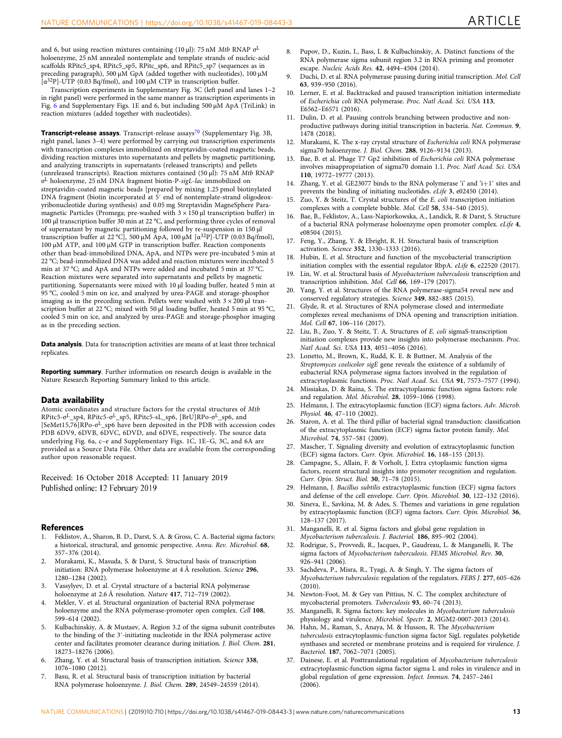<span id="page-12-0"></span>and 6, but using reaction mixtures containing (10 µl): 75 nM *Mtb* RNAP  $\sigma^{\text{L}}$ holoenzyme, 25 nM annealed nontemplate and template strands of nucleic-acid scaffolds RPitc5\_sp4, RPitc5\_sp5, RPitc\_sp6, and RPitc5\_sp7 (sequences as in preceding paragraph), 500 μM GpA (added together with nucleotides), 100 µM [α <sup>32</sup>P]-UTP (0.03 Bq/fmol), and 100 μM CTP in transcription buffer.

Transcription experiments in Supplementary Fig. 3C (left panel and lanes 1–2 in right panel) were performed in the same manner as transcription experiments in Fig. [6](#page-8-0) and Supplementary Figs. 1E and 6, but including 500 μM ApA (TriLink) in reaction mixtures (added together with nucleotides).

Transcript-release assays. Transcript-release assays<sup>[70](#page-13-0)</sup> (Supplementary Fig. 3B, right panel, lanes 3–4) were performed by carrying out transcription experiments with transcription complexes immobilized on streptavidin-coated magnetic beads, dividing reaction mixtures into supernatants and pellets by magnetic partitioning, and analyzing transcripts in supernatants (released transcripts) and pellets (unreleased transcripts). Reaction mixtures contained (50 µl): 75 nM Mtb RNAP σ <sup>L</sup> holoenzyme, 25 nM DNA fragment biotin-P-sigL-lac immobilized on streptavidin-coated magnetic beads [prepared by mixing 1.25 pmol biotinylated DNA fragment (biotin incorporated at 5′ end of nontemplate-strand oligodeoxyribonucleotide during synthesis) and 0.05 mg Streptavidin MagneSphere Paramagnetic Particles (Promega; pre-washed with  $3 \times 150$  µl transcription buffer) in 100 µl transcription buffer 30 min at 22 °C, and performing three cycles of removal of supernatant by magnetic partitioning followed by re-suspension in 150 μl transcription buffer at 22 °C], 500 μM ApA, 100 μM [α<sup>32</sup>P]-UTP (0.03 Bq/fmol), 100 µM ATP, and 100 μM GTP in transcription buffer. Reaction components other than bead-immobilized DNA, ApA, and NTPs were pre-incubated 5 min at 22 °C; bead-immobilized DNA was added and reaction mixtures were incubated 5 min at 37 °C; and ApA and NTPs were added and incubated 5 min at 37 °C. Reaction mixtures were separated into supernatants and pellets by magnetic partitioning. Supernatants were mixed with 10 µl loading buffer, heated 5 min at 95 °C, cooled 5 min on ice, and analyzed by urea-PAGE and storage-phosphor imaging as in the preceding section. Pellets were washed with  $3 \times 200$  µl transcription buffer at 22 °C; mixed with 50 µl loading buffer, heated 5 min at 95 °C, cooled 5 min on ice, and analyzed by urea-PAGE and storage-phosphor imaging as in the preceding section.

Data analysis. Data for transcription activities are means of at least three technical replicates.

Reporting summary. Further information on research design is available in the Nature Research Reporting Summary linked to this article.

#### Data availability

Atomic coordinates and structure factors for the crystal structures of Mtb RPitc5-σ<sup>L</sup>\_sp4, RPitc5-σ<sup>L</sup>\_sp5, RPitc5-sL\_sp6, [BrU]RPo-σ<sup>L</sup>\_sp6, and [SeMet15,76]RPo-σ<sup>L</sup>\_sp6 have been deposited in the PDB with accession codes PDB 6DV9, 6DVB, 6DVC, 6DVD, and 6DVE, respectively. The source data underlying Fig. 6a, c–e and Supplementary Figs. 1C, 1E–G, 3C, and 6A are provided as a Source Data File. Other data are available from the corresponding author upon reasonable request.

Received: 16 October 2018 Accepted: 11 January 2019 Published online: 12 February 2019

#### References

- 1. Feklistov, A., Sharon, B. D., Darst, S. A. & Gross, C. A. Bacterial sigma factors: a historical, structural, and genomic perspective. Annu. Rev. Microbiol. 68, 357–376 (2014).
- 2. Murakami, K., Masuda, S. & Darst, S. Structural basis of transcription initiation: RNA polymerase holoenzyme at 4 Å resolution. Science 296, 1280–1284 (2002).
- 3. Vassylyev, D. et al. Crystal structure of a bacterial RNA polymerase holoenzyme at 2.6 Å resolution. Nature 417, 712-719 (2002)
- 4. Mekler, V. et al. Structural organization of bacterial RNA polymerase holoenzyme and the RNA polymerase-promoter open complex. Cell 108, 599–614 (2002).
- 5. Kulbachinskiy, A. & Mustaev, A. Region 3.2 of the sigma subunit contributes to the binding of the 3′-initiating nucleotide in the RNA polymerase active center and facilitates promoter clearance during initiation. J. Biol. Chem. 281, 18273–18276 (2006).
- 6. Zhang, Y. et al. Structural basis of transcription initiation. Science 338, 1076–1080 (2012).
- 7. Basu, R. et al. Structural basis of transcription initiation by bacterial RNA polymerase holoenzyme. J. Biol. Chem. 289, 24549–24559 (2014).
- 8. Pupov, D., Kuzin, I., Bass, I. & Kulbachinskiy, A. Distinct functions of the RNA polymerase sigma subunit region 3.2 in RNA priming and promoter escape. Nucleic Acids Res. 42, 4494–4504 (2014).
- Duchi, D. et al. RNA polymerase pausing during initial transcription. Mol. Cell 63, 939–950 (2016).
- 10. Lerner, E. et al. Backtracked and paused transcription initiation intermediate of Escherichia coli RNA polymerase. Proc. Natl Acad. Sci. USA 113, E6562–E6571 (2016).
- 11. Dulin, D. et al. Pausing controls branching between productive and nonproductive pathways during initial transcription in bacteria. Nat. Commun. 9, 1478 (2018).
- 12. Murakami, K. The x-ray crystal structure of Escherichia coli RNA polymerase sigma70 holoenzyme. J. Biol. Chem. 288, 9126–9134 (2013).
- 13. Bae, B. et al. Phage T7 Gp2 inhibition of Escherichia coli RNA polymerase involves misappropriation of sigma70 domain 1.1. Proc. Natl Acad. Sci. USA 110, 19772–19777 (2013).
- 14. Zhang, Y. et al. GE23077 binds to the RNA polymerase 'i' and 'i+1′ sites and prevents the binding of initiating nucleotides. eLife 3, e02450 (2014).
- Zuo, Y. & Steitz, T. Crystal structures of the E. coli transcription initiation complexes with a complete bubble. Mol. Cell 58, 534–540 (2015).
- 16. Bae, B., Feklistov, A., Lass-Napiorkowska, A., Landick, R. & Darst, S. Structure of a bacterial RNA polymerase holoenzyme open promoter complex. eLife 4, e08504 (2015).
- 17. Feng, Y., Zhang, Y. & Ebright, R. H. Structural basis of transcription activation. Science 352, 1330–1333 (2016).
- 18. Hubin, E. et al. Structure and function of the mycobacterial transcription initiation complex with the essential regulator RbpA. eLife 6, e22520 (2017).
- 19. Lin, W. et al. Structural basis of Mycobacterium tuberculosis transcription and transcription inhibition. Mol. Cell 66, 169–179 (2017).
- 20. Yang, Y. et al. Structures of the RNA polymerase-sigma54 reveal new and conserved regulatory strategies. Science 349, 882–885 (2015).
- 21. Glyde, R. et al. Structures of RNA polymerase closed and intermediate complexes reveal mechanisms of DNA opening and transcription initiation. Mol. Cell 67, 106–116 (2017).
- 22. Liu, B., Zuo, Y. & Steitz, T. A. Structures of E. coli sigmaS-transcription initiation complexes provide new insights into polymerase mechanism. Proc. Natl Acad. Sci. USA 113, 4051–4056 (2016).
- 23. Lonetto, M., Brown, K., Rudd, K. E. & Buttner, M. Analysis of the Streptomyces coelicolor sigE gene reveals the existence of a subfamily of eubacterial RNA polymerase sigma factors involved in the regulation of extracytoplasmic functions. Proc. Natl Acad. Sci. USA 91, 7573–7577 (1994).
- 24. Missiakas, D. & Raina, S. The extracytoplasmic function sigma factors: role and regulation. Mol. Microbiol. 28, 1059–1066 (1998).
- 25. Helmann, J. The extracytoplasmic function (ECF) sigma factors. Adv. Microb. Physiol. 46, 47–110 (2002).
- 26. Staron, A. et al. The third pillar of bacterial signal transduction: classification of the extracytoplasmic function (ECF) sigma factor protein family. Mol. Microbiol. 74, 557–581 (2009).
- 27. Mascher, T. Signaling diversity and evolution of extracytoplasmic function (ECF) sigma factors. Curr. Opin. Microbiol. 16, 148–155 (2013).
- 28. Campagne, S., Allain, F. & Vorholt, J. Extra cytoplasmic function sigma factors, recent structural insights into promoter recognition and regulation. Curr. Opin. Struct. Biol. 30, 71–78 (2015).
- 29. Helmann, J. Bacillus subtilis extracytoplasmic function (ECF) sigma factors and defense of the cell envelope. Curr. Opin. Microbiol. 30, 122–132 (2016).
- 30. Sineva, E., Savkina, M. & Ades, S. Themes and variations in gene regulation by extracytoplasmic function (ECF) sigma factors. Curr. Opin. Microbiol. 36, 128–137 (2017).
- 31. Manganelli, R. et al. Sigma factors and global gene regulation in Mycobacterium tuberculosis. J. Bacteriol. 186, 895–902 (2004).
- 32. Rodrigue, S., Provvedi, R., Jacques, P., Gaudreau, L. & Manganelli, R. The sigma factors of Mycobacterium tuberculosis. FEMS Microbiol. Rev. 30, 926–941 (2006).
- 33. Sachdeva, P., Misra, R., Tyagi, A. & Singh, Y. The sigma factors of Mycobacterium tuberculosis: regulation of the regulators. FEBS J. 277, 605–626 (2010).
- 34. Newton-Foot, M. & Gey van Pittius, N. C. The complex architecture of mycobacterial promoters. Tuberculosis 93, 60–74 (2013).
- 35. Manganelli, R. Sigma factors: key molecules in Mycobacterium tuberculosis physiology and virulence. Microbiol. Spectr. 2, MGM2-0007-2013 (2014).
- 36. Hahn, M., Raman, S., Anaya, M. & Husson, R. The Mycobacterium tuberculosis extracytoplasmic-function sigma factor SigL regulates polyketide synthases and secreted or membrane proteins and is required for virulence. J. Bacteriol. 187, 7062–7071 (2005).
- 37. Dainese, E. et al. Posttranslational regulation of Mycobacterium tuberculosis extracytoplasmic-function sigma factor sigma L and roles in virulence and in global regulation of gene expression. Infect. Immun. 74, 2457–2461 (2006).